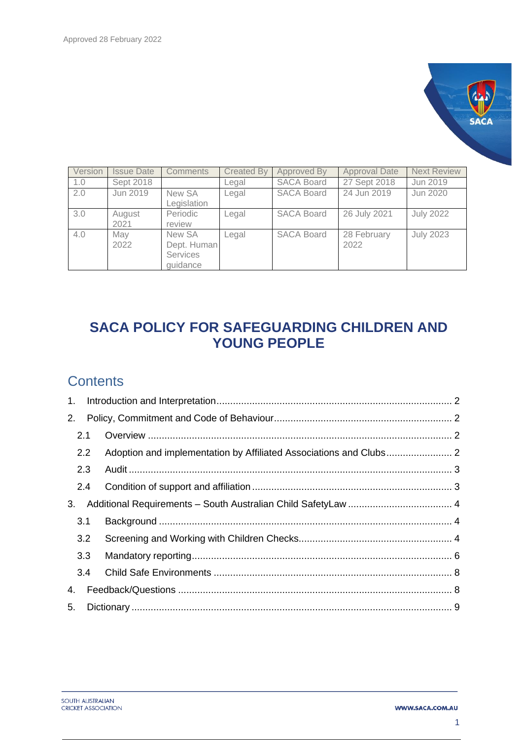

| Version | <b>Issue Date</b> | <b>Comments</b>                                      | <b>Created By</b> | Approved By       | <b>Approval Date</b> | <b>Next Review</b> |
|---------|-------------------|------------------------------------------------------|-------------------|-------------------|----------------------|--------------------|
| 1.0     | Sept 2018         |                                                      | Legal             | <b>SACA Board</b> | 27 Sept 2018         | Jun 2019           |
| 2.0     | Jun 2019          | New SA<br>Legislation                                | Legal             | <b>SACA Board</b> | 24 Jun 2019          | Jun 2020           |
| 3.0     | August<br>2021    | Periodic<br>review                                   | Legal             | <b>SACA Board</b> | 26 July 2021         | <b>July 2022</b>   |
| 4.0     | May<br>2022       | New SA<br>Dept. Human<br><b>Services</b><br>guidance | Legal             | <b>SACA Board</b> | 28 February<br>2022  | <b>July 2023</b>   |

# **SACA POLICY FOR SAFEGUARDING CHILDREN AND YOUNG PEOPLE**

## **Contents**

| 2. |     |  |  |  |  |
|----|-----|--|--|--|--|
|    | 2.1 |  |  |  |  |
|    | 2.2 |  |  |  |  |
|    | 2.3 |  |  |  |  |
|    | 2.4 |  |  |  |  |
| 3. |     |  |  |  |  |
|    | 3.1 |  |  |  |  |
|    | 3.2 |  |  |  |  |
|    | 3.3 |  |  |  |  |
|    | 3.4 |  |  |  |  |
| 4. |     |  |  |  |  |
| 5. |     |  |  |  |  |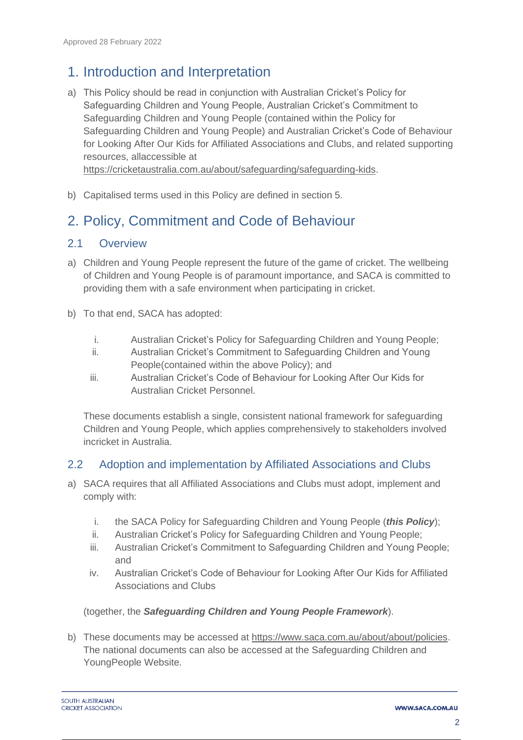### <span id="page-1-0"></span>1. Introduction and Interpretation

- a) This Policy should be read in conjunction with Australian Cricket's Policy for Safeguarding Children and Young People, Australian Cricket's Commitment to Safeguarding Children and Young People (contained within the Policy for Safeguarding Children and Young People) and Australian Cricket's Code of Behaviour for Looking After Our Kids for Affiliated Associations and Clubs, and related supporting resources, allaccessible at [https://cricketaustralia.com.au/about/safeguarding/safeguarding-kids.](https://cricketaustralia.com.au/about/safeguarding/safeguarding-kids)
- b) Capitalised terms used in this Policy are defined in section 5.

# <span id="page-1-1"></span>2. Policy, Commitment and Code of Behaviour

#### <span id="page-1-2"></span>2.1 Overview

- a) Children and Young People represent the future of the game of cricket. The wellbeing of Children and Young People is of paramount importance, and SACA is committed to providing them with a safe environment when participating in cricket.
- b) To that end, SACA has adopted:
	- i. Australian Cricket's Policy for Safeguarding Children and Young People;
	- ii. Australian Cricket's Commitment to Safeguarding Children and Young People(contained within the above Policy); and
	- iii. Australian Cricket's Code of Behaviour for Looking After Our Kids for Australian Cricket Personnel.

These documents establish a single, consistent national framework for safeguarding Children and Young People, which applies comprehensively to stakeholders involved incricket in Australia.

#### <span id="page-1-3"></span>2.2 Adoption and implementation by Affiliated Associations and Clubs

- a) SACA requires that all Affiliated Associations and Clubs must adopt, implement and comply with:
	- i. the SACA Policy for Safeguarding Children and Young People (*this Policy*);
	- ii. Australian Cricket's Policy for Safeguarding Children and Young People;
	- iii. Australian Cricket's Commitment to Safeguarding Children and Young People; and
	- iv. Australian Cricket's Code of Behaviour for Looking After Our Kids for Affiliated Associations and Clubs

#### (together, the *Safeguarding Children and Young People Framework*).

b) These documents may be accessed at [https://www.saca.com.au/about/about/policies.](https://www.saca.com.au/about/about/policies) The national documents can also be accessed at the Safeguarding Children and YoungPeople Website.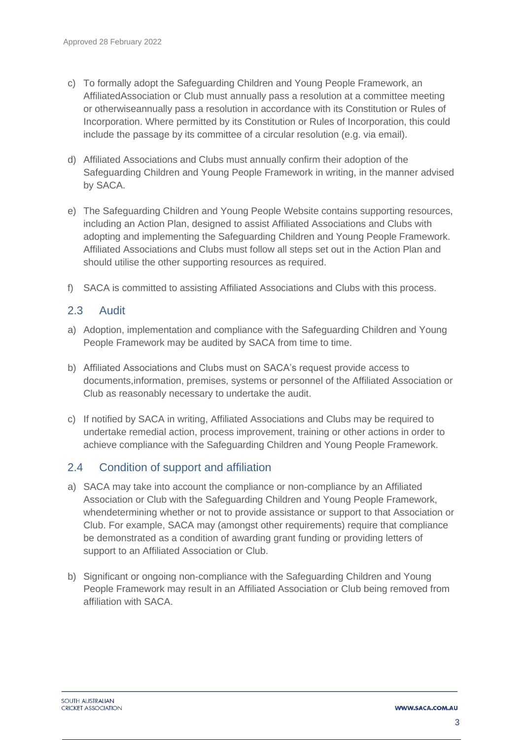- c) To formally adopt the Safeguarding Children and Young People Framework, an AffiliatedAssociation or Club must annually pass a resolution at a committee meeting or otherwiseannually pass a resolution in accordance with its Constitution or Rules of Incorporation. Where permitted by its Constitution or Rules of Incorporation, this could include the passage by its committee of a circular resolution (e.g. via email).
- d) Affiliated Associations and Clubs must annually confirm their adoption of the Safeguarding Children and Young People Framework in writing, in the manner advised by SACA.
- e) The Safeguarding Children and Young People Website contains supporting resources, including an Action Plan, designed to assist Affiliated Associations and Clubs with adopting and implementing the Safeguarding Children and Young People Framework. Affiliated Associations and Clubs must follow all steps set out in the Action Plan and should utilise the other supporting resources as required.
- f) SACA is committed to assisting Affiliated Associations and Clubs with this process.

#### <span id="page-2-0"></span>2.3 Audit

- a) Adoption, implementation and compliance with the Safeguarding Children and Young People Framework may be audited by SACA from time to time.
- b) Affiliated Associations and Clubs must on SACA's request provide access to documents,information, premises, systems or personnel of the Affiliated Association or Club as reasonably necessary to undertake the audit.
- c) If notified by SACA in writing, Affiliated Associations and Clubs may be required to undertake remedial action, process improvement, training or other actions in order to achieve compliance with the Safeguarding Children and Young People Framework.

### <span id="page-2-1"></span>2.4 Condition of support and affiliation

- a) SACA may take into account the compliance or non-compliance by an Affiliated Association or Club with the Safeguarding Children and Young People Framework, whendetermining whether or not to provide assistance or support to that Association or Club. For example, SACA may (amongst other requirements) require that compliance be demonstrated as a condition of awarding grant funding or providing letters of support to an Affiliated Association or Club.
- b) Significant or ongoing non-compliance with the Safeguarding Children and Young People Framework may result in an Affiliated Association or Club being removed from affiliation with SACA.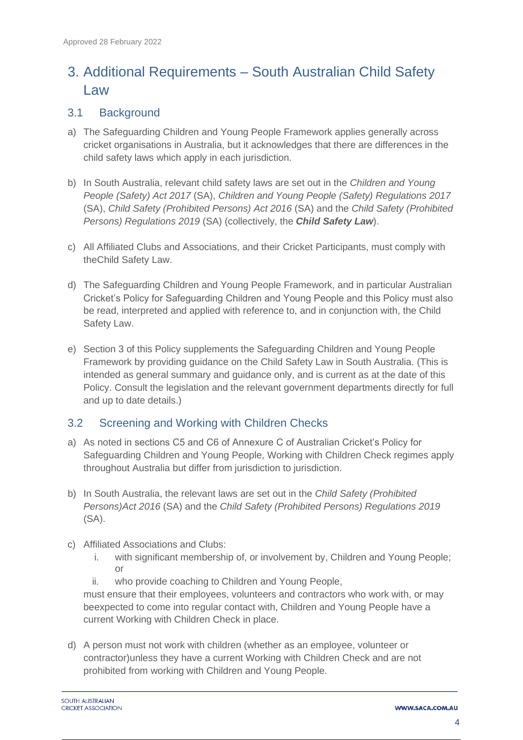# <span id="page-3-0"></span>3. Additional Requirements – South Australian Child Safety Law

### <span id="page-3-1"></span>3.1 Background

- a) The Safeguarding Children and Young People Framework applies generally across cricket organisations in Australia, but it acknowledges that there are differences in the child safety laws which apply in each jurisdiction.
- b) In South Australia, relevant child safety laws are set out in the *Children and Young People (Safety) Act 2017* (SA), *Children and Young People (Safety) Regulations 2017* (SA), *Child Safety (Prohibited Persons) Act 2016* (SA) and the *Child Safety (Prohibited Persons) Regulations 2019* (SA) (collectively, the *Child Safety Law*).
- c) All Affiliated Clubs and Associations, and their Cricket Participants, must comply with theChild Safety Law.
- d) The Safeguarding Children and Young People Framework, and in particular Australian Cricket's Policy for Safeguarding Children and Young People and this Policy must also be read, interpreted and applied with reference to, and in conjunction with, the Child Safety Law.
- e) Section 3 of this Policy supplements the Safeguarding Children and Young People Framework by providing guidance on the Child Safety Law in South Australia. (This is intended as general summary and guidance only, and is current as at the date of this Policy. Consult the legislation and the relevant government departments directly for full and up to date details.)

### <span id="page-3-2"></span>3.2 Screening and Working with Children Checks

- a) As noted in sections C5 and C6 of Annexure C of Australian Cricket's Policy for Safeguarding Children and Young People, Working with Children Check regimes apply throughout Australia but differ from jurisdiction to jurisdiction.
- b) In South Australia, the relevant laws are set out in the *Child Safety (Prohibited Persons)Act 2016* (SA) and the *Child Safety (Prohibited Persons) Regulations 2019* (SA).
- c) Affiliated Associations and Clubs:
	- i. with significant membership of, or involvement by, Children and Young People; or
	- ii. who provide coaching to Children and Young People,

must ensure that their employees, volunteers and contractors who work with, or may beexpected to come into regular contact with, Children and Young People have a current Working with Children Check in place.

d) A person must not work with children (whether as an employee, volunteer or contractor)unless they have a current Working with Children Check and are not prohibited from working with Children and Young People.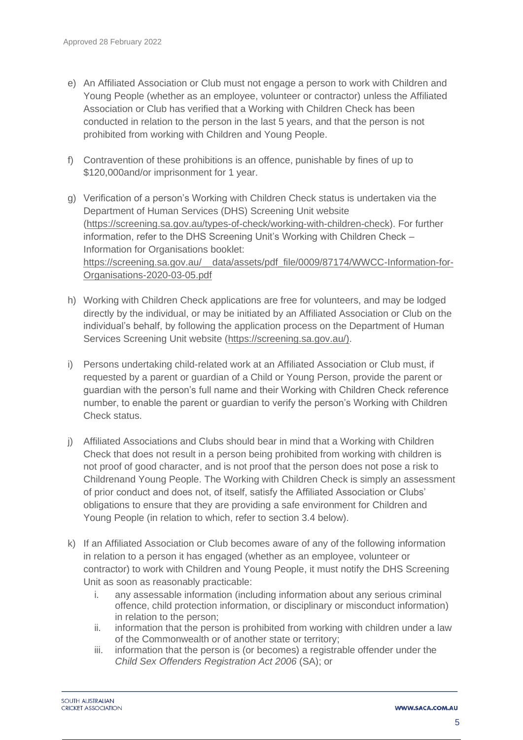- e) An Affiliated Association or Club must not engage a person to work with Children and Young People (whether as an employee, volunteer or contractor) unless the Affiliated Association or Club has verified that a Working with Children Check has been conducted in relation to the person in the last 5 years, and that the person is not prohibited from working with Children and Young People.
- f) Contravention of these prohibitions is an offence, punishable by fines of up to \$120,000and/or imprisonment for 1 year.
- g) Verification of a person's Working with Children Check status is undertaken via the Department of Human Services (DHS) Screening Unit website [\(https://screening.sa.gov.au/types-of-check/working-with-children-check\)](https://screening.sa.gov.au/types-of-check/working-with-children-check). For further information, refer to the DHS Screening Unit's Working with Children Check – Information for Organisations booklet: [https://screening.sa.gov.au/\\_\\_data/assets/pdf\\_file/0009/87174/WWCC-Information-for-](https://screening.sa.gov.au/__data/assets/pdf_file/0009/87174/WWCC-Information-for-Organisations-2020-03-05.pdf)[Organisations-2020-03-05.pdf](https://screening.sa.gov.au/__data/assets/pdf_file/0009/87174/WWCC-Information-for-Organisations-2020-03-05.pdf)
- h) Working with Children Check applications are free for volunteers, and may be lodged directly by the individual, or may be initiated by an Affiliated Association or Club on the individual's behalf, by following the application process on the Department of Human Services Screening Unit website [\(https://screening.sa.gov.au/\)](https://screening.sa.gov.au/).
- i) Persons undertaking child-related work at an Affiliated Association or Club must, if requested by a parent or guardian of a Child or Young Person, provide the parent or guardian with the person's full name and their Working with Children Check reference number, to enable the parent or guardian to verify the person's Working with Children Check status.
- j) Affiliated Associations and Clubs should bear in mind that a Working with Children Check that does not result in a person being prohibited from working with children is not proof of good character, and is not proof that the person does not pose a risk to Childrenand Young People. The Working with Children Check is simply an assessment of prior conduct and does not, of itself, satisfy the Affiliated Association or Clubs' obligations to ensure that they are providing a safe environment for Children and Young People (in relation to which, refer to section 3.4 below).
- k) If an Affiliated Association or Club becomes aware of any of the following information in relation to a person it has engaged (whether as an employee, volunteer or contractor) to work with Children and Young People, it must notify the DHS Screening Unit as soon as reasonably practicable:
	- i. any assessable information (including information about any serious criminal offence, child protection information, or disciplinary or misconduct information) in relation to the person;
	- ii. information that the person is prohibited from working with children under a law of the Commonwealth or of another state or territory;
	- iii. information that the person is (or becomes) a registrable offender under the *Child Sex Offenders Registration Act 2006* (SA); or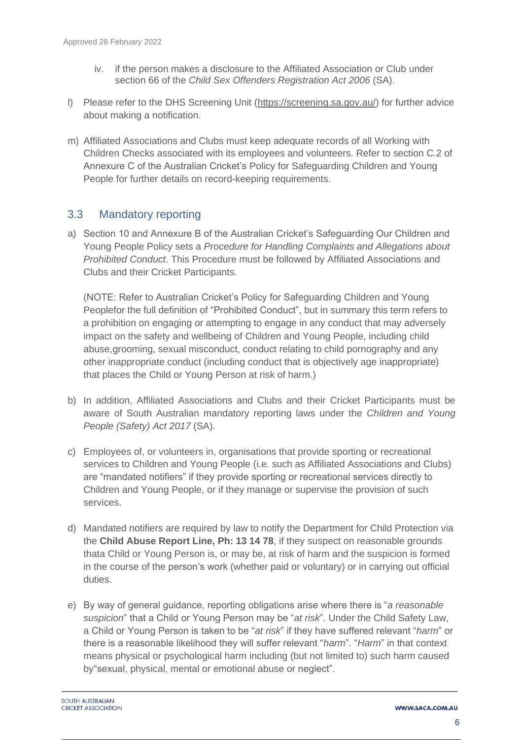- iv. if the person makes a disclosure to the Affiliated Association or Club under section 66 of the *Child Sex Offenders Registration Act 2006* (SA).
- l) Please refer to the DHS Screening Unit [\(https://screening.sa.gov.au/\)](https://screening.sa.gov.au/) for further advice about making a notification.
- m) Affiliated Associations and Clubs must keep adequate records of all Working with Children Checks associated with its employees and volunteers. Refer to section C.2 of Annexure C of the Australian Cricket's Policy for Safeguarding Children and Young People for further details on record-keeping requirements.

### <span id="page-5-0"></span>3.3 Mandatory reporting

a) Section 10 and Annexure B of the Australian Cricket's Safeguarding Our Children and Young People Policy sets a *Procedure for Handling Complaints and Allegations about Prohibited Conduct*. This Procedure must be followed by Affiliated Associations and Clubs and their Cricket Participants.

(NOTE: Refer to Australian Cricket's Policy for Safeguarding Children and Young Peoplefor the full definition of "Prohibited Conduct", but in summary this term refers to a prohibition on engaging or attempting to engage in any conduct that may adversely impact on the safety and wellbeing of Children and Young People, including child abuse,grooming, sexual misconduct, conduct relating to child pornography and any other inappropriate conduct (including conduct that is objectively age inappropriate) that places the Child or Young Person at risk of harm.)

- b) In addition, Affiliated Associations and Clubs and their Cricket Participants must be aware of South Australian mandatory reporting laws under the *Children and Young People (Safety) Act 2017* (SA).
- c) Employees of, or volunteers in, organisations that provide sporting or recreational services to Children and Young People (i.e. such as Affiliated Associations and Clubs) are "mandated notifiers" if they provide sporting or recreational services directly to Children and Young People, or if they manage or supervise the provision of such services.
- d) Mandated notifiers are required by law to notify the Department for Child Protection via the **Child Abuse Report Line, Ph: 13 14 78**, if they suspect on reasonable grounds thata Child or Young Person is, or may be, at risk of harm and the suspicion is formed in the course of the person's work (whether paid or voluntary) or in carrying out official duties.
- e) By way of general guidance, reporting obligations arise where there is "*a reasonable suspicion*" that a Child or Young Person may be "*at risk*". Under the Child Safety Law, a Child or Young Person is taken to be "*at risk*" if they have suffered relevant "*harm*" or there is a reasonable likelihood they will suffer relevant "*harm*". "*Harm*" in that context means physical or psychological harm including (but not limited to) such harm caused by"sexual, physical, mental or emotional abuse or neglect".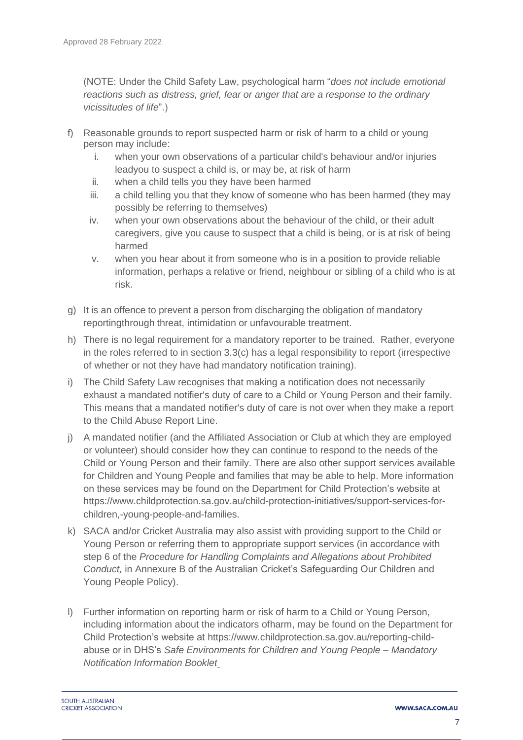(NOTE: Under the Child Safety Law, psychological harm "*does not include emotional reactions such as distress, grief, fear or anger that are a response to the ordinary vicissitudes of life*".)

- f) Reasonable grounds to report suspected harm or risk of harm to a child or young person may include:
	- i. when your own observations of a particular child's behaviour and/or injuries leadyou to suspect a child is, or may be, at risk of harm
	- ii. when a child tells you they have been harmed
	- iii. a child telling you that they know of someone who has been harmed (they may possibly be referring to themselves)
	- iv. when your own observations about the behaviour of the child, or their adult caregivers, give you cause to suspect that a child is being, or is at risk of being harmed
	- v. when you hear about it from someone who is in a position to provide reliable information, perhaps a relative or friend, neighbour or sibling of a child who is at risk.
- g) It is an offence to prevent a person from discharging the obligation of mandatory reportingthrough threat, intimidation or unfavourable treatment.
- h) There is no legal requirement for a mandatory reporter to be trained. Rather, everyone in the roles referred to in section 3.3(c) has a legal responsibility to report (irrespective of whether or not they have had mandatory notification training).
- i) The Child Safety Law recognises that making a notification does not necessarily exhaust a mandated notifier's duty of care to a Child or Young Person and their family. This means that a mandated notifier's duty of care is not over when they make a report to the Child Abuse Report Line.
- j) A mandated notifier (and the Affiliated Association or Club at which they are employed or volunteer) should consider how they can continue to respond to the needs of the Child or Young Person and their family. There are also other support services available for Children and Young People and families that may be able to help. More information on these services may be found on the Department for Child Protection's website at [https://www.childprotection.sa.gov.au/child-protection-initiatives/support-services-for](https://www.childprotection.sa.gov.au/child-protection-initiatives/support-services-for-children,-young-people-and-families)[children,-young-people-and-families.](https://www.childprotection.sa.gov.au/child-protection-initiatives/support-services-for-children,-young-people-and-families)
- k) SACA and/or Cricket Australia may also assist with providing support to the Child or Young Person or referring them to appropriate support services (in accordance with step 6 of the *Procedure for Handling Complaints and Allegations about Prohibited Conduct,* in Annexure B of the Australian Cricket's Safeguarding Our Children and Young People Policy).
- l) Further information on reporting harm or risk of harm to a Child or Young Person, including information about the indicators ofharm, may be found on the Department for Child Protection's website at [https://www.childprotection.sa.gov.au/reporting-child](https://www.childprotection.sa.gov.au/reporting-child-abuse)[abuse](https://www.childprotection.sa.gov.au/reporting-child-abuse) or in DHS's *Safe Environments for Children and Young People – Mandatory Notification Information Booklet*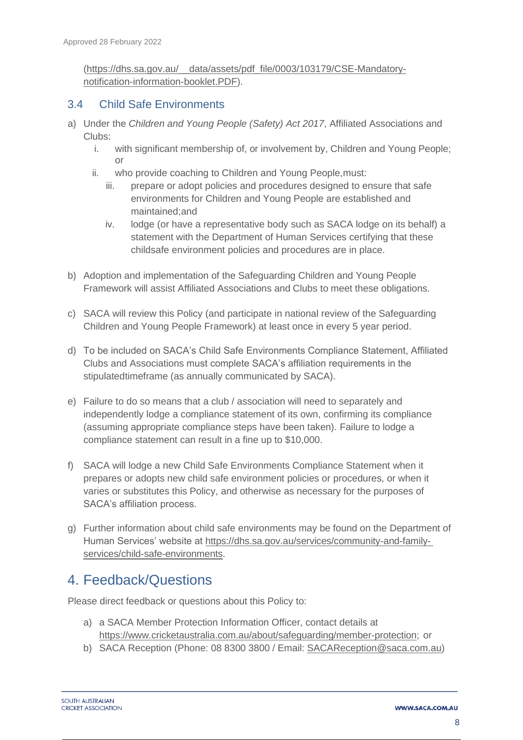[\(https://dhs.sa.gov.au/\\_\\_data/assets/pdf\\_file/0003/103179/CSE-Mandatory](https://dhs.sa.gov.au/__data/assets/pdf_file/0003/103179/CSE-Mandatory-notification-information-booklet.PDF)[notification-information-booklet.PDF\)](https://dhs.sa.gov.au/__data/assets/pdf_file/0003/103179/CSE-Mandatory-notification-information-booklet.PDF).

#### <span id="page-7-0"></span>3.4 Child Safe Environments

- a) Under the *Children and Young People (Safety) Act 2017*, Affiliated Associations and Clubs:
	- i. with significant membership of, or involvement by, Children and Young People; or
	- ii. who provide coaching to Children and Young People,must:
		- iii. prepare or adopt policies and procedures designed to ensure that safe environments for Children and Young People are established and maintained;and
		- iv. lodge (or have a representative body such as SACA lodge on its behalf) a statement with the Department of Human Services certifying that these childsafe environment policies and procedures are in place.
- b) Adoption and implementation of the Safeguarding Children and Young People Framework will assist Affiliated Associations and Clubs to meet these obligations.
- c) SACA will review this Policy (and participate in national review of the Safeguarding Children and Young People Framework) at least once in every 5 year period.
- d) To be included on SACA's Child Safe Environments Compliance Statement, Affiliated Clubs and Associations must complete SACA's affiliation requirements in the stipulatedtimeframe (as annually communicated by SACA).
- e) Failure to do so means that a club / association will need to separately and independently lodge a compliance statement of its own, confirming its compliance (assuming appropriate compliance steps have been taken). Failure to lodge a compliance statement can result in a fine up to \$10,000.
- f) SACA will lodge a new Child Safe Environments Compliance Statement when it prepares or adopts new child safe environment policies or procedures, or when it varies or substitutes this Policy, and otherwise as necessary for the purposes of SACA's affiliation process.
- g) Further information about child safe environments may be found on the Department of Human Services' website at https://dhs.sa.gov.au/services/community-and-familyservices/child-safe-environments.

### <span id="page-7-1"></span>4. Feedback/Questions

Please direct feedback or questions about this Policy to:

- a) a SACA Member Protection Information Officer, contact details at [https://www.cricketaustralia.com.au/about/safeguarding/member-protection;](https://www.cricketaustralia.com.au/about/safeguarding/member-protection) or
- b) SACA Reception (Phone: 08 8300 3800 / Email: [SACAReception@saca.com.au\)](mailto:SACAReception@saca.com.au)